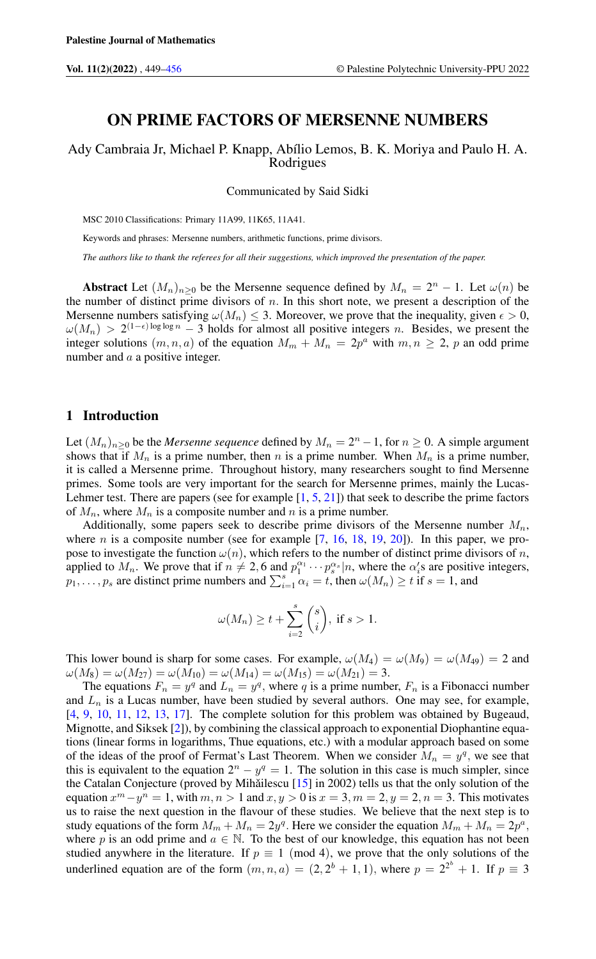## ON PRIME FACTORS OF MERSENNE NUMBERS

Ady Cambraia Jr, Michael P. Knapp, Abílio Lemos, B. K. Moriya and Paulo H. A. Rodrigues

Communicated by Said Sidki

MSC 2010 Classifications: Primary 11A99, 11K65, 11A41.

Keywords and phrases: Mersenne numbers, arithmetic functions, prime divisors.

*The authors like to thank the referees for all their suggestions, which improved the presentation of the paper.*

Abstract Let  $(M_n)_{n\geq 0}$  be the Mersenne sequence defined by  $M_n = 2^n - 1$ . Let  $\omega(n)$  be the number of distinct prime divisors of  $n$ . In this short note, we present a description of the Mersenne numbers satisfying  $\omega(M_n) \leq 3$ . Moreover, we prove that the inequality, given  $\epsilon > 0$ ,  $\omega(M_n) > 2^{(1-\epsilon)\log\log n} - 3$  holds for almost all positive integers n. Besides, we present the integer solutions  $(m, n, a)$  of the equation  $M_m + M_n = 2p^a$  with  $m, n \ge 2$ , p an odd prime number and a a positive integer.

### 1 Introduction

Let  $(M_n)_{n\geq 0}$  be the *Mersenne sequence* defined by  $M_n = 2^n - 1$ , for  $n \geq 0$ . A simple argument shows that if  $M_n$  is a prime number, then n is a prime number. When  $M_n$  is a prime number, it is called a Mersenne prime. Throughout history, many researchers sought to find Mersenne primes. Some tools are very important for the search for Mersenne primes, mainly the Lucas-Lehmer test. There are papers (see for example  $[1, 5, 21]$  $[1, 5, 21]$  $[1, 5, 21]$  $[1, 5, 21]$  $[1, 5, 21]$ ) that seek to describe the prime factors of  $M_n$ , where  $M_n$  is a composite number and n is a prime number.

Additionally, some papers seek to describe prime divisors of the Mersenne number  $M_n$ , where *n* is a composite number (see for example  $[7, 16, 18, 19, 20]$  $[7, 16, 18, 19, 20]$  $[7, 16, 18, 19, 20]$  $[7, 16, 18, 19, 20]$  $[7, 16, 18, 19, 20]$  $[7, 16, 18, 19, 20]$  $[7, 16, 18, 19, 20]$  $[7, 16, 18, 19, 20]$  $[7, 16, 18, 19, 20]$ ). In this paper, we propose to investigate the function  $\omega(n)$ , which refers to the number of distinct prime divisors of n, applied to  $M_n$ . We prove that if  $n \neq 2, 6$  and  $p_1^{\alpha_1} \cdots p_s^{\alpha_s} | n$ , where the  $\alpha_i$ 's are positive integers,  $p_1, \ldots, p_s$  are distinct prime numbers and  $\sum_{i=1}^{s} \alpha_i = t$ , then  $\omega(M_n) \ge t$  if  $s = 1$ , and

$$
\omega(M_n) \ge t + \sum_{i=2}^s \binom{s}{i}, \text{ if } s > 1.
$$

This lower bound is sharp for some cases. For example,  $\omega(M_4) = \omega(M_9) = \omega(M_{49}) = 2$  and  $\omega(M_8) = \omega(M_{27}) = \omega(M_{10}) = \omega(M_{14}) = \omega(M_{15}) = \omega(M_{21}) = 3.$ 

The equations  $F_n = y^q$  and  $L_n = y^q$ , where q is a prime number,  $F_n$  is a Fibonacci number and  $L_n$  is a Lucas number, have been studied by several authors. One may see, for example, [\[4,](#page-7-9) [9,](#page-7-10) [10,](#page-7-11) [11,](#page-7-12) [12,](#page-7-13) [13,](#page-7-14) [17\]](#page-7-15). The complete solution for this problem was obtained by Bugeaud, Mignotte, and Siksek [\[2\]](#page-7-16)), by combining the classical approach to exponential Diophantine equations (linear forms in logarithms, Thue equations, etc.) with a modular approach based on some of the ideas of the proof of Fermat's Last Theorem. When we consider  $M_n = y^q$ , we see that this is equivalent to the equation  $2^n - y^q = 1$ . The solution in this case is much simpler, since the Catalan Conjecture (proved by Mihăilescu [[15\]](#page-7-17) in 2002) tells us that the only solution of the equation  $x^m - y^n = 1$ , with  $m, n > 1$  and  $x, y > 0$  is  $x = 3, m = 2, y = 2, n = 3$ . This motivates us to raise the next question in the flavour of these studies. We believe that the next step is to study equations of the form  $M_m + M_n = 2y^q$ . Here we consider the equation  $M_m + M_n = 2p^a$ , where p is an odd prime and  $a \in \mathbb{N}$ . To the best of our knowledge, this equation has not been studied anywhere in the literature. If  $p \equiv 1 \pmod{4}$ , we prove that the only solutions of the underlined equation are of the form  $(m, n, a) = (2, 2^b + 1, 1)$ , where  $p = 2^{2^b} + 1$ . If  $p \equiv 3$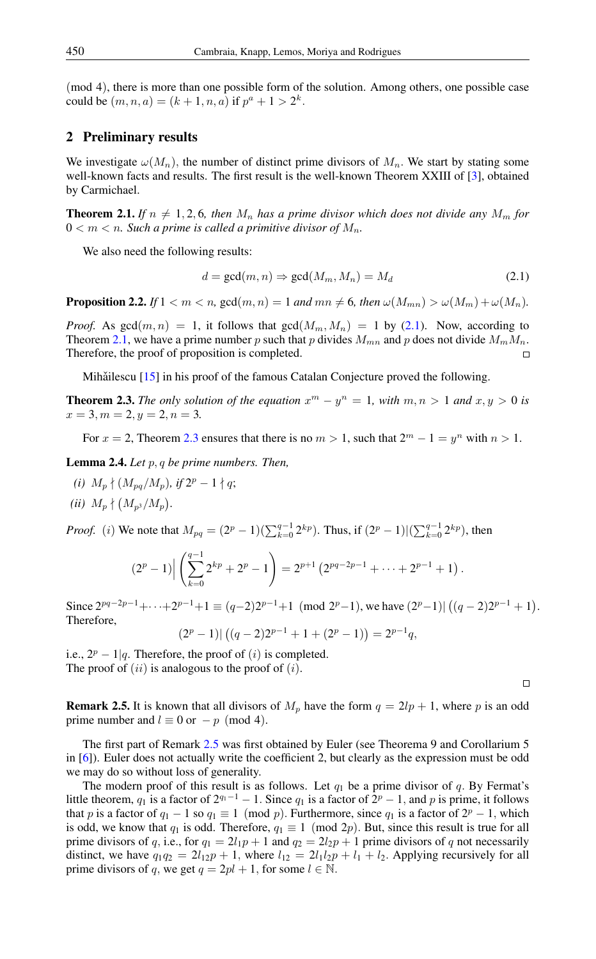(mod 4), there is more than one possible form of the solution. Among others, one possible case could be  $(m, n, a) = (k + 1, n, a)$  if  $p^a + 1 > 2^k$ .

### 2 Preliminary results

We investigate  $\omega(M_n)$ , the number of distinct prime divisors of  $M_n$ . We start by stating some well-known facts and results. The first result is the well-known Theorem XXIII of [\[3\]](#page-7-18), obtained by Carmichael.

<span id="page-1-1"></span>**Theorem 2.1.** *If*  $n \neq 1, 2, 6$ *, then*  $M_n$  *has a prime divisor which does not divide any*  $M_m$  *for*  $0 < m < n$ . Such a prime is called a primitive divisor of  $M_n$ .

We also need the following results:

<span id="page-1-0"></span>
$$
d = \gcd(m, n) \Rightarrow \gcd(M_m, M_n) = M_d \tag{2.1}
$$

<span id="page-1-4"></span>**Proposition 2.2.** *If*  $1 < m < n$ , gcd $(m, n) = 1$  *and*  $mn \neq 6$ *, then*  $\omega(M_{mn}) > \omega(M_m) + \omega(M_n)$ *.* 

*Proof.* As  $gcd(m, n) = 1$ , it follows that  $gcd(M_m, M_n) = 1$  by [\(2.1\)](#page-1-0). Now, according to Theorem [2.1,](#page-1-1) we have a prime number p such that p divides  $M_{mn}$  and p does not divide  $M_mM_n$ . Therefore, the proof of proposition is completed.

Mihăilescu  $[15]$  $[15]$  in his proof of the famous Catalan Conjecture proved the following.

<span id="page-1-2"></span>**Theorem 2.3.** The only solution of the equation  $x^m - y^n = 1$ , with  $m, n > 1$  and  $x, y > 0$  is  $x = 3, m = 2, y = 2, n = 3.$ 

For  $x = 2$ , Theorem [2.3](#page-1-2) ensures that there is no  $m > 1$ , such that  $2^m - 1 = y^n$  with  $n > 1$ .

<span id="page-1-5"></span>Lemma 2.4. *Let* p, q *be prime numbers. Then,*

*(i)*  $M_p \nmid (M_{pq}/M_p)$ *, if*  $2^p - 1 \nmid q$ *; (ii)*  $M_p \nmid (M_{p^3}/M_p)$ .

*Proof.* (*i*) We note that  $M_{pq} = (2^p - 1)(\sum_{k=0}^{q-1} 2^{kp})$ . Thus, if  $(2^p - 1)|(\sum_{k=0}^{q-1} 2^{kp})$ , then

$$
(2p - 1) \Big| \left( \sum_{k=0}^{q-1} 2^{kp} + 2^p - 1 \right) = 2^{p+1} \left( 2^{pq-2p-1} + \dots + 2^{p-1} + 1 \right).
$$

Since  $2^{pq-2p-1} + \cdots + 2^{p-1} + 1 \equiv (q-2)2^{p-1} + 1 \pmod{2^p-1}$ , we have  $(2^p-1) | ((q-2)2^{p-1} + 1)$ . Therefore,

 $(2<sup>p</sup> - 1)| ((q - 2)2<sup>p-1</sup> + 1 + (2<sup>p</sup> - 1)) = 2<sup>p-1</sup>q,$ 

i.e.,  $2^p - 1|q$ . Therefore, the proof of  $(i)$  is completed. The proof of  $(ii)$  is analogous to the proof of  $(i)$ .

 $\Box$ 

<span id="page-1-3"></span>**Remark 2.5.** It is known that all divisors of  $M_p$  have the form  $q = 2lp + 1$ , where p is an odd prime number and  $l \equiv 0$  or  $-p \pmod{4}$ .

The first part of Remark [2.5](#page-1-3) was first obtained by Euler (see Theorema 9 and Corollarium 5 in [\[6\]](#page-7-19)). Euler does not actually write the coefficient 2, but clearly as the expression must be odd we may do so without loss of generality.

The modern proof of this result is as follows. Let  $q_1$  be a prime divisor of q. By Fermat's little theorem,  $q_1$  is a factor of  $2^{q_1-1} - 1$ . Since  $q_1$  is a factor of  $2^p - 1$ , and p is prime, it follows that p is a factor of  $q_1 - 1$  so  $q_1 \equiv 1 \pmod{p}$ . Furthermore, since  $q_1$  is a factor of  $2^p - 1$ , which is odd, we know that  $q_1$  is odd. Therefore,  $q_1 \equiv 1 \pmod{2p}$ . But, since this result is true for all prime divisors of q, i.e., for  $q_1 = 2l_1p + 1$  and  $q_2 = 2l_2p + 1$  prime divisors of q not necessarily distinct, we have  $q_1q_2 = 2l_{12}p + 1$ , where  $l_{12} = 2l_1l_2p + l_1 + l_2$ . Applying recursively for all prime divisors of q, we get  $q = 2pl + 1$ , for some  $l \in \mathbb{N}$ .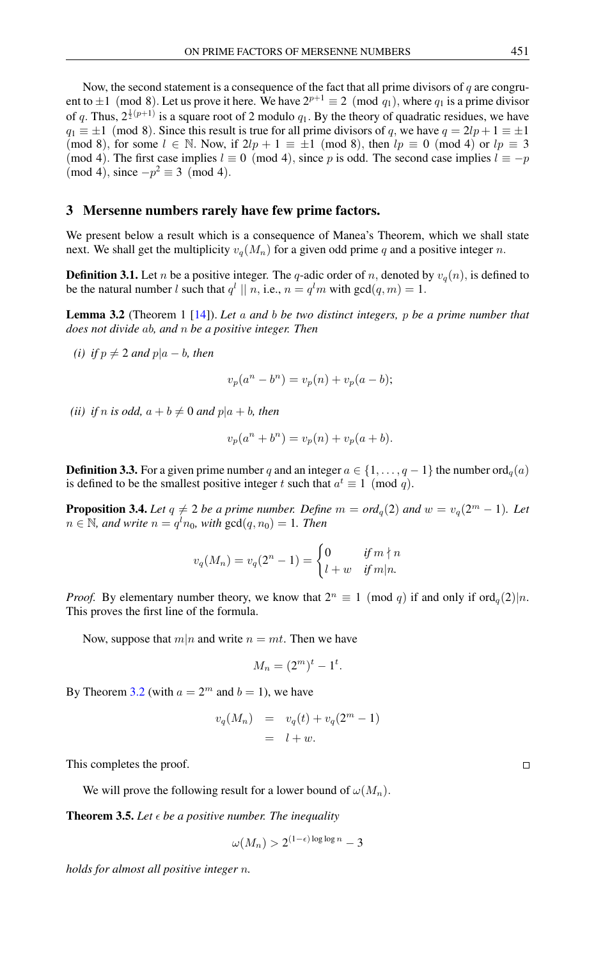Now, the second statement is a consequence of the fact that all prime divisors of  $q$  are congruent to  $\pm 1 \pmod{8}$ . Let us prove it here. We have  $2^{p+1} \equiv 2 \pmod{q_1}$ , where  $q_1$  is a prime divisor of q. Thus,  $2^{\frac{1}{2}(p+1)}$  is a square root of 2 modulo  $q_1$ . By the theory of quadratic residues, we have  $q_1 \equiv \pm 1 \pmod{8}$ . Since this result is true for all prime divisors of q, we have  $q = 2lp + 1 \equiv \pm 1$ (mod 8), for some  $l \in \mathbb{N}$ . Now, if  $2lp + 1 \equiv \pm 1 \pmod{8}$ , then  $lp \equiv 0 \pmod{4}$  or  $lp \equiv 3$ (mod 4). The first case implies  $l \equiv 0 \pmod{4}$ , since p is odd. The second case implies  $l \equiv -p$  $(mod 4)$ , since  $-p^2 \equiv 3 \pmod{4}$ .

#### 3 Mersenne numbers rarely have few prime factors.

We present below a result which is a consequence of Manea's Theorem, which we shall state next. We shall get the multiplicity  $v_q(M_n)$  for a given odd prime q and a positive integer n.

**Definition 3.1.** Let n be a positive integer. The q-adic order of n, denoted by  $v_q(n)$ , is defined to be the natural number l such that  $q^l \mid |n|$ , i.e.,  $n = q^l m$  with  $gcd(q, m) = 1$ .

<span id="page-2-0"></span>Lemma 3.2 (Theorem 1 [\[14\]](#page-7-20)). *Let* a *and* b *be two distinct integers,* p *be a prime number that does not divide* ab*, and* n *be a positive integer. Then*

*(i) if*  $p \neq 2$  *and*  $p|a - b$ *, then* 

$$
v_p(a^n - b^n) = v_p(n) + v_p(a - b);
$$

*(ii) if n is odd,*  $a + b \neq 0$  *and*  $p|a + b$ *, then* 

$$
v_p(a^n + b^n) = v_p(n) + v_p(a + b).
$$

**Definition 3.3.** For a given prime number q and an integer  $a \in \{1, \ldots, q-1\}$  the number ord<sub>q</sub>(a) is defined to be the smallest positive integer t such that  $a^t \equiv 1 \pmod{q}$ .

**Proposition 3.4.** Let  $q \neq 2$  be a prime number. Define  $m = ord_q(2)$  and  $w = v_q(2^m - 1)$ . Let  $n \in \mathbb{N}$ , and write  $n = q^l n_0$ , with  $gcd(q, n_0) = 1$ . Then

$$
v_q(M_n) = v_q(2^n - 1) = \begin{cases} 0 & \text{if } m \nmid n \\ l + w & \text{if } m \mid n. \end{cases}
$$

*Proof.* By elementary number theory, we know that  $2^n \equiv 1 \pmod{q}$  if and only if ord<sub>q</sub>(2)|n. This proves the first line of the formula.

Now, suppose that  $m|n$  and write  $n = mt$ . Then we have

$$
M_n = (2^m)^t - 1^t.
$$

By Theorem [3.2](#page-2-0) (with  $a = 2^m$  and  $b = 1$ ), we have

$$
v_q(M_n) = v_q(t) + v_q(2^m - 1)
$$
  
=  $l + w$ .

This completes the proof.

We will prove the following result for a lower bound of  $\omega(M_n)$ .

<span id="page-2-1"></span>**Theorem 3.5.** Let  $\epsilon$  be a positive number. The inequality

$$
\omega(M_n)>2^{(1-\epsilon)\log\log n}-3
$$

*holds for almost all positive integer* n*.*

 $\Box$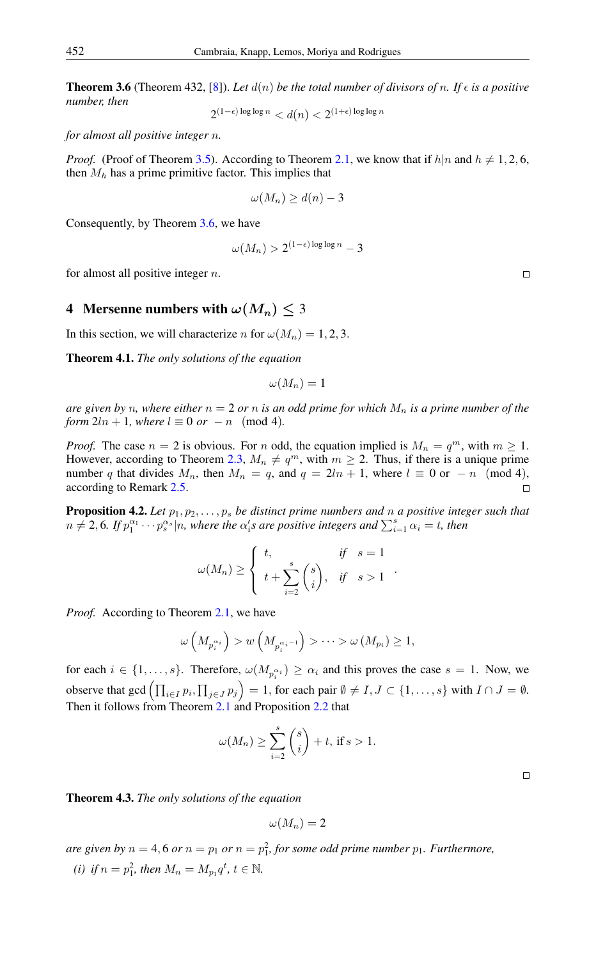<span id="page-3-0"></span>**Theorem 3.6** (Theorem 432, [\[8\]](#page-7-21)). Let  $d(n)$  be the total number of divisors of n. If  $\epsilon$  is a positive *number, then*

 $2^{(1-\epsilon)\log\log n} < d(n) < 2^{(1+\epsilon)\log\log n}$ 

*for almost all positive integer* n*.*

*Proof.* (Proof of Theorem [3.5\)](#page-2-1). According to Theorem [2.1,](#page-1-1) we know that if  $h|n$  and  $h \neq 1, 2, 6$ , then  $M_h$  has a prime primitive factor. This implies that

$$
\omega(M_n) \ge d(n) - 3
$$

Consequently, by Theorem [3.6,](#page-3-0) we have

$$
\omega(M_n) > 2^{(1-\epsilon)\log\log n} - 3
$$

for almost all positive integer  $n$ .

### 4 Mersenne numbers with  $\omega(M_n) \leq 3$

In this section, we will characterize n for  $\omega(M_n) = 1, 2, 3$ .

<span id="page-3-2"></span>Theorem 4.1. *The only solutions of the equation*

$$
\omega(M_n)=1
$$

*are given by n, where either*  $n = 2$  *or n is an odd prime for which*  $M_n$  *is a prime number of the form*  $2ln + 1$ *, where*  $l \equiv 0$  *or*  $-n \pmod{4}$ *.* 

*Proof.* The case  $n = 2$  is obvious. For n odd, the equation implied is  $M_n = q^m$ , with  $m \ge 1$ . However, according to Theorem [2.3,](#page-1-2)  $M_n \neq q^m$ , with  $m \geq 2$ . Thus, if there is a unique prime number q that divides  $M_n$ , then  $M_n = q$ , and  $q = 2ln + 1$ , where  $l \equiv 0$  or  $-n \pmod{4}$ , according to Remark [2.5.](#page-1-3)  $\Box$ 

<span id="page-3-1"></span>**Proposition 4.2.** Let  $p_1, p_2, \ldots, p_s$  be distinct prime numbers and n a positive integer such that  $n \neq 2, 6$ . If  $p_1^{\alpha_1} \cdots p_s^{\alpha_s} | n$ , where the  $\alpha_i$ 's are positive integers and  $\sum_{i=1}^s \alpha_i = t$ , then

$$
\omega(M_n) \ge \begin{cases} t, & \text{if } s = 1 \\ t + \sum_{i=2}^s \binom{s}{i}, & \text{if } s > 1 \end{cases}
$$

*Proof.* According to Theorem [2.1,](#page-1-1) we have

$$
\omega\left(M_{p_i^{\alpha_i}}\right) > w\left(M_{p_i^{\alpha_i-1}}\right) > \cdots > \omega\left(M_{p_i}\right) \geq 1,
$$

for each  $i \in \{1, \ldots, s\}$ . Therefore,  $\omega(M_{p_i^{\alpha_i}}) \geq \alpha_i$  and this proves the case  $s = 1$ . Now, we observe that gcd  $\left(\prod_{i\in I} p_i, \prod_{j\in J} p_j\right) = 1$ , for each pair  $\emptyset \neq I, J \subset \{1, \ldots, s\}$  with  $I \cap J = \emptyset$ . Then it follows from Theorem [2.1](#page-1-1) and Proposition [2.2](#page-1-4) that

$$
\omega(M_n) \ge \sum_{i=2}^s \binom{s}{i} + t, \text{ if } s > 1.
$$

<span id="page-3-3"></span>Theorem 4.3. *The only solutions of the equation*

$$
\omega(M_n)=2
$$

are given by  $n = 4, 6$  or  $n = p_1$  or  $n = p_1^2$ , for some odd prime number  $p_1$ . Furthermore,

*(i) if*  $n = p_1^2$ *, then*  $M_n = M_{p_1} q^t$ *,*  $t \in \mathbb{N}$ *.* 

 $\Box$ 

 $\Box$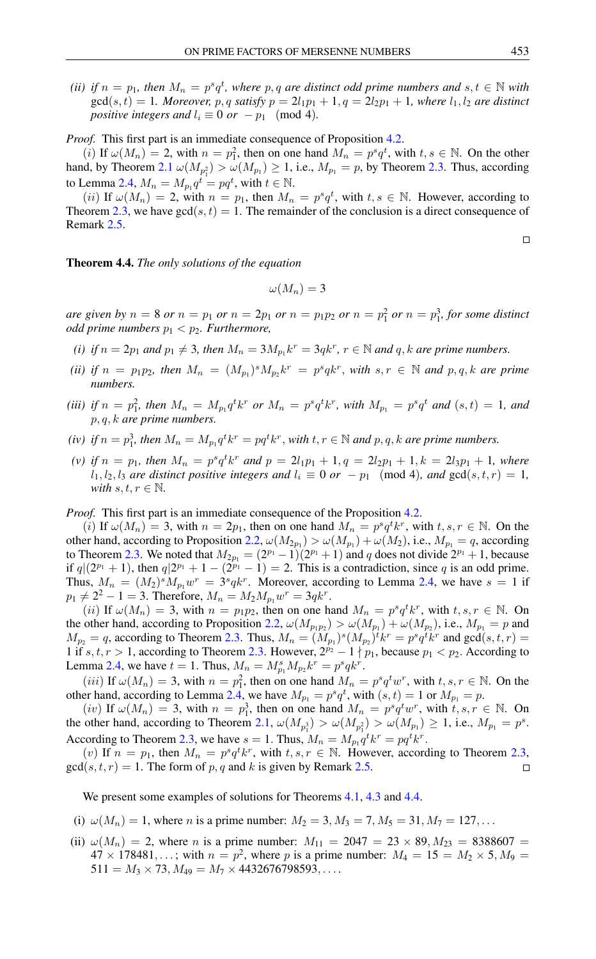*(ii) if*  $n = p_1$ , then  $M_n = p^s q^t$ , where  $p, q$  are distinct odd prime numbers and  $s, t \in \mathbb{N}$  with  $gcd(s, t) = 1$ *. Moreover, p, q satisfy*  $p = 2l_1p_1 + 1$ ,  $q = 2l_2p_1 + 1$ *, where*  $l_1, l_2$  *are distinct positive integers and*  $l_i \equiv 0$  *or* −  $p_1$  (mod 4)*.* 

*Proof.* This first part is an immediate consequence of Proposition [4.2.](#page-3-1)

(*i*) If  $\omega(M_n) = 2$ , with  $n = p_1^2$ , then on one hand  $M_n = p^s q^t$ , with  $t, s \in \mathbb{N}$ . On the other hand, by Theorem [2.1](#page-1-1)  $\omega(M_{p_1}) > \omega(M_{p_1}) \ge 1$ , i.e.,  $M_{p_1} = p$ , by Theorem [2.3.](#page-1-2) Thus, according to Lemma [2.4,](#page-1-5)  $M_n = M_{p_1} q^t = pq^t$ , with  $t \in \mathbb{N}$ .

(*ii*) If  $\omega(M_n) = 2$ , with  $n = p_1$ , then  $M_n = p^s q^t$ , with  $t, s \in \mathbb{N}$ . However, according to Theorem [2.3,](#page-1-2) we have  $gcd(s, t) = 1$ . The remainder of the conclusion is a direct consequence of Remark [2.5.](#page-1-3)

 $\Box$ 

<span id="page-4-0"></span>Theorem 4.4. *The only solutions of the equation*

$$
\omega(M_n)=3
$$

*are given by*  $n = 8$  *or*  $n = p_1$  *or*  $n = 2p_1$  *or*  $n = p_1p_2$  *or*  $n = p_1^2$  *or*  $n = p_1^3$ *, for some distinct odd prime numbers*  $p_1 < p_2$ *. Furthermore,* 

- *(i) if*  $n = 2p_1$  *and*  $p_1 \neq 3$ *, then*  $M_n = 3M_{p_1}k^r = 3qk^r$ *,*  $r \in \mathbb{N}$  *and*  $q$ *, k are prime numbers.*
- (*ii*) if  $n = p_1p_2$ , then  $M_n = (M_{p_1})^s M_{p_2}k^r = p^s q k^r$ , with  $s, r \in \mathbb{N}$  and  $p, q, k$  are prime *numbers.*
- *(iii)* if  $n = p_1^2$ , then  $M_n = M_{p_1} q^t k^r$  or  $M_n = p^s q^t k^r$ , with  $M_{p_1} = p^s q^t$  and  $(s, t) = 1$ , and p, q, k *are prime numbers.*
- (*iv*) *if*  $n = p_1^3$ , then  $M_n = M_{p_1} q^t k^r = pq^t k^r$ , *with*  $t, r \in \mathbb{N}$  *and*  $p, q, k$  *are prime numbers.*
- (*v*) *if*  $n = p_1$ , then  $M_n = p^s q^t k^r$  and  $p = 2l_1p_1 + 1, q = 2l_2p_1 + 1, k = 2l_3p_1 + 1$ , where  $l_1, l_2, l_3$  *are distinct positive integers and*  $l_i \equiv 0$  *or*  $-p_1 \pmod{4}$ *, and*  $gcd(s, t, r) = 1$ *, with*  $s, t, r \in \mathbb{N}$ .

*Proof.* This first part is an immediate consequence of the Proposition [4.2.](#page-3-1)

(i) If  $\omega(M_n) = 3$ , with  $n = 2p_1$ , then on one hand  $M_n = p^s q^t k^r$ , with  $t, s, r \in \mathbb{N}$ . On the other hand, according to Proposition [2.2,](#page-1-4)  $\omega(M_{2p_1}) > \omega(M_{p_1}) + \omega(M_2)$ , i.e.,  $M_{p_1} = q$ , according to Theorem [2.3.](#page-1-2) We noted that  $M_{2p_1} = (2^{p_1} - 1)(2^{p_1} + 1)$  and q does not divide  $2^{p_1} + 1$ , because if  $q|(2^{p_1}+1)$ , then  $q|2^{p_1}+1-(2^{p_1}-1)=2$ . This is a contradiction, since q is an odd prime. Thus,  $M_n = (M_2)^s M_{p_1} w^r = 3^s q k^r$ . Moreover, according to Lemma [2.4,](#page-1-5) we have  $s = 1$  if  $p_1 \neq 2^2 - 1 = 3$ . Therefore,  $M_n = M_2 M_{p_1} w^r = 3qk^r$ .

(*ii*) If  $\omega(M_n) = 3$ , with  $n = p_1p_2$ , then on one hand  $M_n = p^s q^t k^r$ , with  $t, s, r \in \mathbb{N}$ . On the other hand, according to Proposition [2.2,](#page-1-4)  $\omega(M_{p_1p_2}) > \omega(M_{p_1}) + \omega(M_{p_2})$ , i.e.,  $M_{p_1} = p$  and  $M_{p_2} = q$ , according to Theorem [2.3.](#page-1-2) Thus,  $M_n = (M_{p_1})^s (M_{p_2})^t k^r = p^s q^t k^r$  and  $gcd(s, t, r) =$ 1 if s, t, r > 1, according to Theorem [2.3.](#page-1-2) However,  $2^{p_2}-1$  | p<sub>1</sub>, because  $p_1 < p_2$ . According to Lemma [2.4,](#page-1-5) we have  $t = 1$ . Thus,  $M_n = M_{p_1}^s M_{p_2} k^r = p^s q k^r$ .

(*iii*) If  $\omega(M_n) = 3$ , with  $n = p_1^2$ , then on one hand  $M_n = p^s q^t w^r$ , with  $t, s, r \in \mathbb{N}$ . On the other hand, according to Lemma [2.4,](#page-1-5) we have  $M_{p_1} = p^s q^t$ , with  $(s, t) = 1$  or  $M_{p_1} = p$ .

(iv) If  $\omega(M_n) = 3$ , with  $n = p_1^3$ , then on one hand  $M_n = p^s q^t w^r$ , with  $t, s, r \in \mathbb{N}$ . On the other hand, according to Theorem [2.1,](#page-1-1)  $\omega(M_{p_1^3}) > \omega(M_{p_1^2}) > \omega(M_{p_1}) \ge 1$ , i.e.,  $M_{p_1} = p^s$ . According to Theorem [2.3,](#page-1-2) we have  $s = 1$ . Thus,  $M_n = M_{p_1} q^t k^r = p q^t k^r$ .

(v) If  $n = p_1$ , then  $M_n = p^s q^t k^r$ , with  $t, s, r \in \mathbb{N}$ . However, according to Theorem [2.3,](#page-1-2)  $gcd(s, t, r) = 1$ . The form of p, q and k is given by Remark [2.5.](#page-1-3)  $\Box$ 

We present some examples of solutions for Theorems [4.1,](#page-3-2) [4.3](#page-3-3) and [4.4.](#page-4-0)

- (i)  $\omega(M_n) = 1$ , where *n* is a prime number:  $M_2 = 3$ ,  $M_3 = 7$ ,  $M_5 = 31$ ,  $M_7 = 127$ ,...
- (ii)  $\omega(M_n) = 2$ , where *n* is a prime number:  $M_{11} = 2047 = 23 \times 89$ ,  $M_{23} = 8388607 =$  $47 \times 178481, \ldots$ ; with  $n = p^2$ , where p is a prime number:  $M_4 = 15 = M_2 \times 5, M_9 =$  $511 = M_3 \times 73, M_{49} = M_7 \times 4432676798593, \ldots$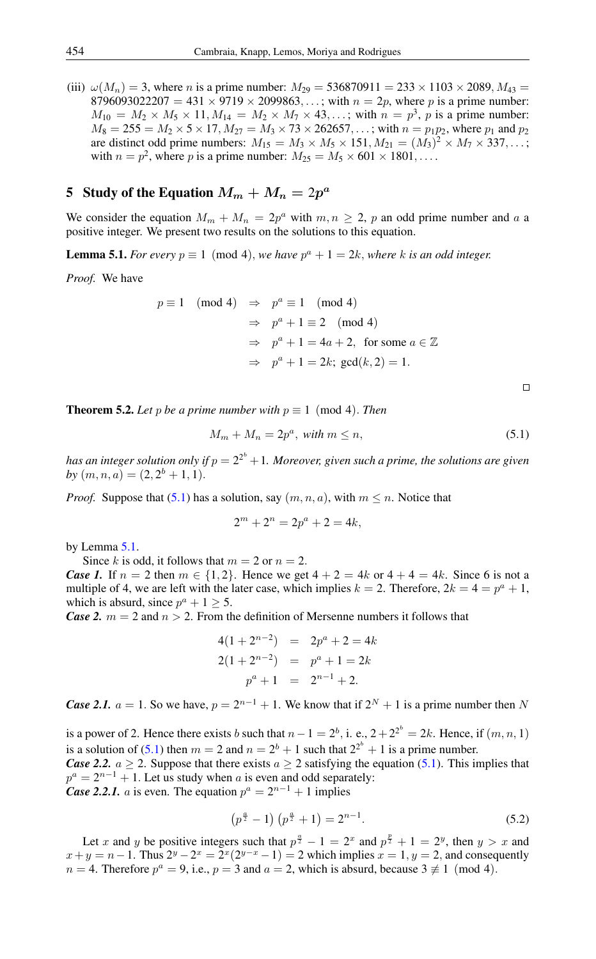(iii)  $\omega(M_n) = 3$ , where *n* is a prime number:  $M_{29} = 536870911 = 233 \times 1103 \times 2089$ ,  $M_{43} =$ 8796093022207 = 431  $\times$  9719  $\times$  2099863,...; with  $n = 2p$ , where p is a prime number:  $M_{10} = M_2 \times M_5 \times 11, M_{14} = M_2 \times M_7 \times 43, ...;$  with  $n = p^3$ , p is a prime number:  $M_8 = 255 = M_2 \times 5 \times 17$ ,  $M_{27} = M_3 \times 73 \times 262657$ , ...; with  $n = p_1 p_2$ , where  $p_1$  and  $p_2$ are distinct odd prime numbers:  $M_{15} = M_3 \times M_5 \times 151$ ,  $M_{21} = (M_3)^2 \times M_7 \times 337$ ,...; with  $n = p^2$ , where p is a prime number:  $M_{25} = M_5 \times 601 \times 1801, \dots$ 

# 5 Study of the Equation  $M_m + M_n = 2p^a$

We consider the equation  $M_m + M_n = 2p^a$  with  $m, n \ge 2$ , p an odd prime number and a a positive integer. We present two results on the solutions to this equation.

<span id="page-5-1"></span>**Lemma 5.1.** *For every*  $p \equiv 1 \pmod{4}$ , *we have*  $p^a + 1 = 2k$ *, where* k *is an odd integer.* 

*Proof.* We have

$$
p \equiv 1 \pmod{4} \Rightarrow p^a \equiv 1 \pmod{4}
$$
  
\n
$$
\Rightarrow p^a + 1 \equiv 2 \pmod{4}
$$
  
\n
$$
\Rightarrow p^a + 1 = 4a + 2, \text{ for some } a \in \mathbb{Z}
$$
  
\n
$$
\Rightarrow p^a + 1 = 2k; \text{ gcd}(k, 2) = 1.
$$

 $\Box$ 

<span id="page-5-2"></span>**Theorem 5.2.** *Let* p *be a prime number with*  $p \equiv 1 \pmod{4}$ . *Then* 

<span id="page-5-0"></span>
$$
M_m + M_n = 2p^a, \text{ with } m \le n,
$$
\n<sup>(5.1)</sup>

has an integer solution only if  $p=2^{2^b}+1.$  Moreover, given such a prime, the solutions are given by  $(m, n, a) = (2, 2^b + 1, 1).$ 

*Proof.* Suppose that [\(5.1\)](#page-5-0) has a solution, say  $(m, n, a)$ , with  $m \leq n$ . Notice that

$$
2^m + 2^n = 2p^a + 2 = 4k,
$$

by Lemma [5.1.](#page-5-1)

Since k is odd, it follows that  $m = 2$  or  $n = 2$ .

*Case 1.* If  $n = 2$  then  $m \in \{1, 2\}$ . Hence we get  $4 + 2 = 4k$  or  $4 + 4 = 4k$ . Since 6 is not a multiple of 4, we are left with the later case, which implies  $k = 2$ . Therefore,  $2k = 4 = p^a + 1$ , which is absurd, since  $p^a + 1 \ge 5$ .

*Case 2.*  $m = 2$  and  $n > 2$ . From the definition of Mersenne numbers it follows that

$$
4(1 + 2n-2) = 2pa + 2 = 4k
$$
  
\n
$$
2(1 + 2n-2) = pa + 1 = 2k
$$
  
\n
$$
pa + 1 = 2n-1 + 2.
$$

*Case 2.1.*  $a = 1$ . So we have,  $p = 2^{n-1} + 1$ . We know that if  $2^N + 1$  is a prime number then N

is a power of 2. Hence there exists b such that  $n-1=2^b$ , i. e.,  $2+2^{2^b}=2k$ . Hence, if  $(m, n, 1)$ is a solution of [\(5.1\)](#page-5-0) then  $m = 2$  and  $n = 2^b + 1$  such that  $2^{2^b} + 1$  is a prime number.

*Case 2.2.*  $a \ge 2$ . Suppose that there exists  $a \ge 2$  satisfying the equation [\(5.1\)](#page-5-0). This implies that  $p^a = 2^{n-1} + 1$ . Let us study when a is even and odd separately:

*Case 2.2.1. a* is even. The equation  $p^a = 2^{n-1} + 1$  implies

$$
\left(p^{\frac{a}{2}} - 1\right)\left(p^{\frac{a}{2}} + 1\right) = 2^{n-1}.\tag{5.2}
$$

Let x and y be positive integers such that  $p^{\frac{a}{2}} - 1 = 2^x$  and  $p^{\frac{p}{2}} + 1 = 2^y$ , then  $y > x$  and  $x + y = n - 1$ . Thus  $2^y - 2^x = 2^x (2^{y-x} - 1) = 2$  which implies  $x = 1, y = 2$ , and consequently  $n = 4$ . Therefore  $p^a = 9$ , i.e.,  $p = 3$  and  $a = 2$ , which is absurd, because  $3 \not\equiv 1 \pmod{4}$ .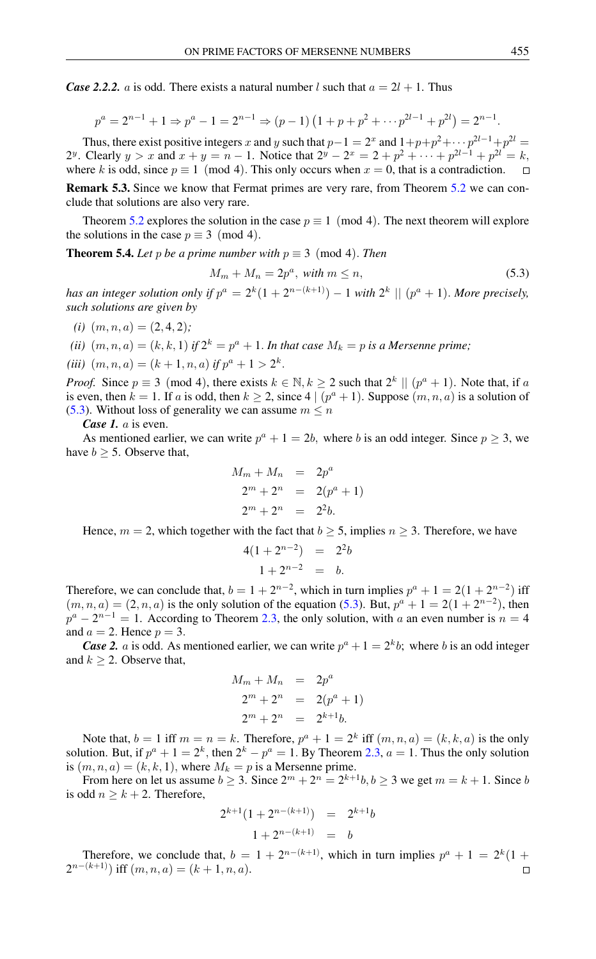*Case 2.2.2.* a is odd. There exists a natural number l such that  $a = 2l + 1$ . Thus

$$
p^{a} = 2^{n-1} + 1 \Rightarrow p^{a} - 1 = 2^{n-1} \Rightarrow (p - 1) (1 + p + p^{2} + \cdots p^{2l-1} + p^{2l}) = 2^{n-1}.
$$

Thus, there exist positive integers x and y such that  $p-1 = 2^x$  and  $1+p+p^2+\cdots p^{2l-1}+p^{2l} =$ 2<sup>y</sup>. Clearly  $y > x$  and  $x + y = n - 1$ . Notice that  $2^y - 2^x = 2 + p^2 + \dots + p^{2l-1} + p^{2l} = k$ , where k is odd, since  $p \equiv 1 \pmod{4}$ . This only occurs when  $x = 0$ , that is a contradiction.  $\Box$ 

Remark 5.3. Since we know that Fermat primes are very rare, from Theorem [5.2](#page-5-2) we can conclude that solutions are also very rare.

Theorem [5.2](#page-5-2) explores the solution in the case  $p \equiv 1 \pmod{4}$ . The next theorem will explore the solutions in the case  $p \equiv 3 \pmod{4}$ .

**Theorem 5.4.** *Let* p *be a prime number with*  $p \equiv 3 \pmod{4}$ . *Then* 

<span id="page-6-0"></span>
$$
M_m + M_n = 2p^a, \text{ with } m \le n,
$$
\n<sup>(5.3)</sup>

has an integer solution only if  $p^a = 2^k(1 + 2^{n-(k+1)}) - 1$  with  $2^k \mid \mid (p^a + 1)$ . More precisely, *such solutions are given by*

- $(i)$   $(m, n, a) = (2, 4, 2);$
- (*ii*)  $(m, n, a) = (k, k, 1)$  *if*  $2^k = p^a + 1$ . *In that case*  $M_k = p$  *is a Mersenne prime;*
- (*iii*)  $(m, n, a) = (k + 1, n, a)$  *if*  $p^a + 1 > 2^k$ .

*Proof.* Since  $p \equiv 3 \pmod{4}$ , there exists  $k \in \mathbb{N}, k \ge 2$  such that  $2^k \parallel (p^a + 1)$ . Note that, if a is even, then  $k = 1$ . If a is odd, then  $k \ge 2$ , since  $4 \mid (p^a + 1)$ . Suppose  $(m, n, a)$  is a solution of [\(5.3\)](#page-6-0). Without loss of generality we can assume  $m \leq n$ 

*Case 1.* a is even.

As mentioned earlier, we can write  $p^a + 1 = 2b$ , where b is an odd integer. Since  $p \ge 3$ , we have  $b \geq 5$ . Observe that,

$$
M_m + M_n = 2p^a
$$
  
\n
$$
2^m + 2^n = 2(p^a + 1)
$$
  
\n
$$
2^m + 2^n = 2^2b.
$$

Hence,  $m = 2$ , which together with the fact that  $b \ge 5$ , implies  $n \ge 3$ . Therefore, we have

$$
4(1+2^{n-2}) = 2^2b
$$
  

$$
1+2^{n-2} = b.
$$

Therefore, we can conclude that,  $b = 1 + 2^{n-2}$ , which in turn implies  $p^a + 1 = 2(1 + 2^{n-2})$  iff  $(m, n, a) = (2, n, a)$  is the only solution of the equation [\(5.3\)](#page-6-0). But,  $p^{a} + 1 = 2(1 + 2^{n-2})$ , then  $p^{a} - 2^{n-1} = 1$ . According to Theorem [2.3,](#page-1-2) the only solution, with a an even number is  $n = 4$ and  $a = 2$ . Hence  $p = 3$ .

*Case 2. a* is odd. As mentioned earlier, we can write  $p^a + 1 = 2^k b$ ; where b is an odd integer and  $k \geq 2$ . Observe that,

$$
M_m + M_n = 2p^a
$$
  
\n
$$
2^m + 2^n = 2(p^a + 1)
$$
  
\n
$$
2^m + 2^n = 2^{k+1}b.
$$

Note that,  $b = 1$  iff  $m = n = k$ . Therefore,  $p^a + 1 = 2^k$  iff  $(m, n, a) = (k, k, a)$  is the only solution. But, if  $p^a + 1 = 2^k$ , then  $2^k - p^a = 1$ . By Theorem [2.3,](#page-1-2)  $a = 1$ . Thus the only solution is  $(m, n, a) = (k, k, 1)$ , where  $M_k = p$  is a Mersenne prime.

From here on let us assume  $b \ge 3$ . Since  $2^m + 2^n = 2^{k+1}b$ ,  $b \ge 3$  we get  $m = k + 1$ . Since b is odd  $n \geq k + 2$ . Therefore,

$$
2^{k+1}(1+2^{n-(k+1)}) = 2^{k+1}b
$$
  

$$
1+2^{n-(k+1)} = b
$$

Therefore, we conclude that,  $b = 1 + 2^{n-(k+1)}$ , which in turn implies  $p^a + 1 = 2^k(1 +$  $2^{n-(k+1)}$ ) iff  $(m, n, a) = (k+1, n, a)$ .